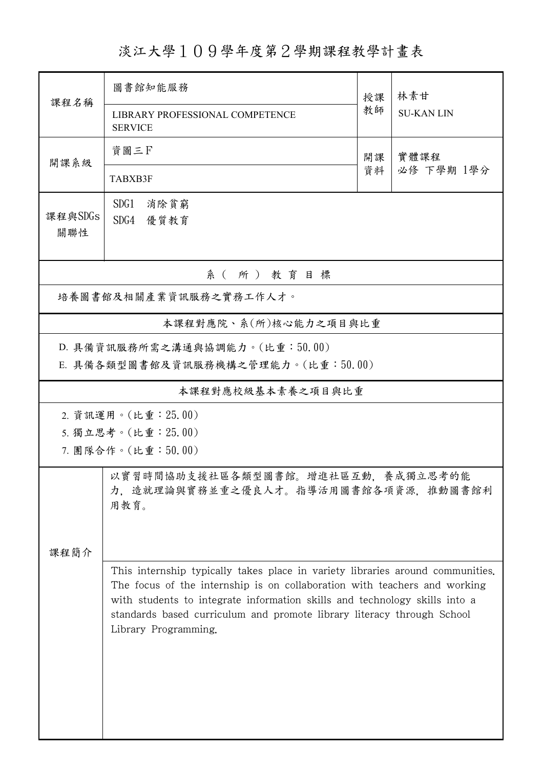淡江大學109學年度第2學期課程教學計畫表

|                                                                                          | 圖書館知能服務                                                                                                                                                                                                                                                                                                                                     | 授課       | 林素甘                |  |  |  |  |  |  |
|------------------------------------------------------------------------------------------|---------------------------------------------------------------------------------------------------------------------------------------------------------------------------------------------------------------------------------------------------------------------------------------------------------------------------------------------|----------|--------------------|--|--|--|--|--|--|
| 課程名稱                                                                                     | LIBRARY PROFESSIONAL COMPETENCE<br><b>SERVICE</b>                                                                                                                                                                                                                                                                                           | 教師       | <b>SU-KAN LIN</b>  |  |  |  |  |  |  |
| 開課系級                                                                                     | 資圖三日                                                                                                                                                                                                                                                                                                                                        | 開課<br>資料 | 實體課程<br>必修 下學期 1學分 |  |  |  |  |  |  |
|                                                                                          | TABXB3F                                                                                                                                                                                                                                                                                                                                     |          |                    |  |  |  |  |  |  |
| 課程與SDGs<br>關聯性                                                                           | SDG1<br>消除貧窮<br>SDG4 優質教育                                                                                                                                                                                                                                                                                                                   |          |                    |  |  |  |  |  |  |
|                                                                                          | 系(所)教育目標                                                                                                                                                                                                                                                                                                                                    |          |                    |  |  |  |  |  |  |
|                                                                                          | 培養圖書館及相關產業資訊服務之實務工作人才。                                                                                                                                                                                                                                                                                                                      |          |                    |  |  |  |  |  |  |
|                                                                                          | 本課程對應院、系(所)核心能力之項目與比重                                                                                                                                                                                                                                                                                                                       |          |                    |  |  |  |  |  |  |
| D. 具備資訊服務所需之溝通與協調能力。(比重:50.00)<br>E. 具備各類型圖書館及資訊服務機構之管理能力。(比重:50.00)                     |                                                                                                                                                                                                                                                                                                                                             |          |                    |  |  |  |  |  |  |
|                                                                                          | 本課程對應校級基本素養之項目與比重                                                                                                                                                                                                                                                                                                                           |          |                    |  |  |  |  |  |  |
|                                                                                          | 2. 資訊運用。(比重: 25.00)                                                                                                                                                                                                                                                                                                                         |          |                    |  |  |  |  |  |  |
|                                                                                          | 5. 獨立思考。(比重: 25.00)<br>7. 團隊合作。(比重:50.00)                                                                                                                                                                                                                                                                                                   |          |                    |  |  |  |  |  |  |
| 以實習時間協助支援社區各類型圖書館。增進社區互動,養成獨立思考的能<br>力,造就理論與實務並重之優良人才。指導活用圖書館各項資源,推動圖書館利<br>用教育。<br>課程簡介 |                                                                                                                                                                                                                                                                                                                                             |          |                    |  |  |  |  |  |  |
|                                                                                          | This internship typically takes place in variety libraries around communities.<br>The focus of the internship is on collaboration with teachers and working<br>with students to integrate information skills and technology skills into a<br>standards based curriculum and promote library literacy through School<br>Library Programming. |          |                    |  |  |  |  |  |  |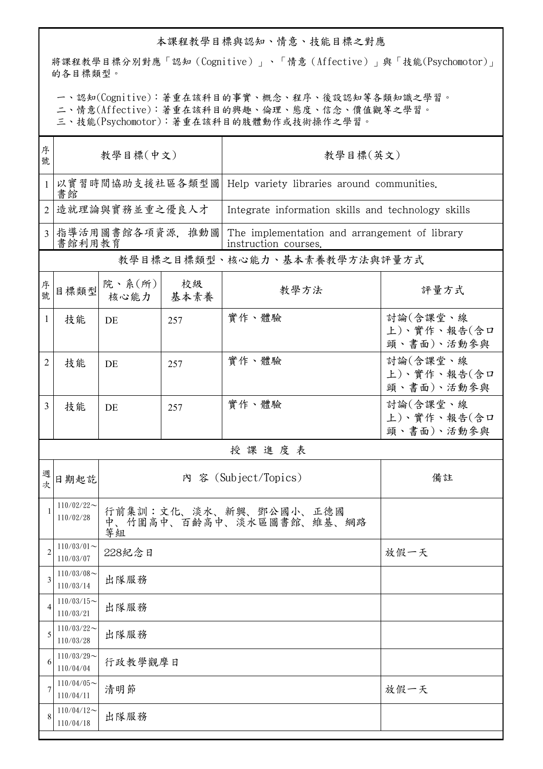## 本課程教學目標與認知、情意、技能目標之對應

將課程教學目標分別對應「認知(Cognitive)」、「情意(Affective)」與「技能(Psychomotor)」 的各目標類型。

一、認知(Cognitive):著重在該科目的事實、概念、程序、後設認知等各類知識之學習。

二、情意(Affective):著重在該科目的興趣、倫理、態度、信念、價值觀等之學習。

三、技能(Psychomotor):著重在該科目的肢體動作或技術操作之學習。

| 序<br>號         | 教學目標(中文)                   |                                                          |     | 教學目標(英文)                                                              |                                       |  |
|----------------|----------------------------|----------------------------------------------------------|-----|-----------------------------------------------------------------------|---------------------------------------|--|
|                | 書館                         |                                                          |     | 以實習時間協助支援社區各類型圖   Help variety libraries around communities.          |                                       |  |
| $\overline{2}$ |                            | 造就理論與實務並重之優良人才                                           |     | Integrate information skills and technology skills                    |                                       |  |
| $\overline{3}$ | 書館利用教育                     | 指導活用圖書館各項資源,推動圖                                          |     | The implementation and arrangement of library<br>instruction courses. |                                       |  |
|                |                            |                                                          |     | 教學目標之目標類型、核心能力、基本素養教學方法與評量方式                                          |                                       |  |
| 序號             | 目標類型                       | 院、系 $(\kappa)$<br>核心能力 基本素養                              | 校級  | 教學方法                                                                  | 評量方式                                  |  |
| 1              | 技能                         | DE                                                       | 257 | 實作、體驗                                                                 | 討論(含課堂、線<br>上)、實作、報告(含口<br>頭、書面)、活動參與 |  |
| 2              | 技能                         | DE                                                       | 257 | 實作、體驗                                                                 | 討論(含課堂、線<br>上)、實作、報告(含口<br>頭、書面)、活動參與 |  |
| $\overline{3}$ | 技能                         | DE                                                       | 257 | 實作、體驗                                                                 | 討論(含課堂、線<br>上)、實作、報告(含口<br>頭、書面)、活動參與 |  |
|                |                            |                                                          |     | 授課進度表                                                                 |                                       |  |
| 週次             | 日期起訖                       | 內 容 (Subject/Topics)                                     |     |                                                                       | 備註                                    |  |
| $\mathbf{1}$   | $110/02/22$ ~<br>110/02/28 | 行前集訓:文化、淡水、新興、鄧公國小、正德國<br>中、竹圍高中、百齡高中、淡水區圖書館、維基、網路<br>等組 |     |                                                                       |                                       |  |
| $\overline{c}$ | $110/03/01$ ~<br>110/03/07 | 228紀念日                                                   |     |                                                                       | 放假一天                                  |  |
| 3              | $110/03/08$ ~<br>110/03/14 | 出隊服務                                                     |     |                                                                       |                                       |  |
| 4              | $110/03/15$ ~<br>110/03/21 | 出隊服務                                                     |     |                                                                       |                                       |  |
| 5              | $110/03/22$ ~<br>110/03/28 | 出隊服務                                                     |     |                                                                       |                                       |  |
| 6              | $110/03/29$ ~<br>110/04/04 | 行政教學觀摩日                                                  |     |                                                                       |                                       |  |
| 7              | $110/04/05$ ~<br>110/04/11 | 清明節<br>放假一天                                              |     |                                                                       |                                       |  |
| 8              | $110/04/12$ ~<br>110/04/18 | 出隊服務                                                     |     |                                                                       |                                       |  |